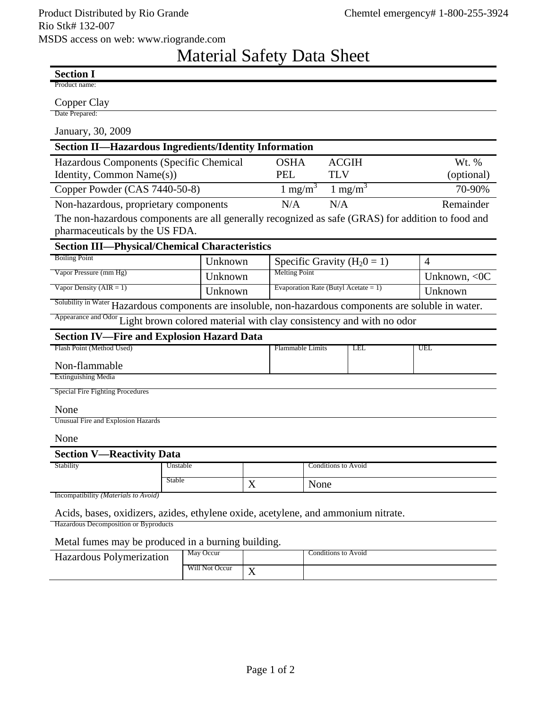## Material Safety Data Sheet

| <b>Section I</b>                                                                                       |          |   |                                         |                            |            |         |                |
|--------------------------------------------------------------------------------------------------------|----------|---|-----------------------------------------|----------------------------|------------|---------|----------------|
| Product name:                                                                                          |          |   |                                         |                            |            |         |                |
| Copper Clay                                                                                            |          |   |                                         |                            |            |         |                |
| Date Prepared:                                                                                         |          |   |                                         |                            |            |         |                |
| January, 30, 2009                                                                                      |          |   |                                         |                            |            |         |                |
| <b>Section II—Hazardous Ingredients/Identity Information</b>                                           |          |   |                                         |                            |            |         |                |
| Hazardous Components (Specific Chemical                                                                |          |   | <b>OSHA</b><br><b>ACGIH</b>             |                            |            | Wt. %   |                |
| Identity, Common Name(s))                                                                              |          |   |                                         | <b>TLV</b>                 |            |         | (optional)     |
| Copper Powder (CAS 7440-50-8)                                                                          |          |   | $1 \text{ mg/m}^3$                      |                            | 1 mg/m $3$ |         | 70-90%         |
| Non-hazardous, proprietary components                                                                  |          |   | N/A                                     | N/A                        |            |         | Remainder      |
| The non-hazardous components are all generally recognized as safe (GRAS) for addition to food and      |          |   |                                         |                            |            |         |                |
| pharmaceuticals by the US FDA.                                                                         |          |   |                                         |                            |            |         |                |
| <b>Section III-Physical/Chemical Characteristics</b>                                                   |          |   |                                         |                            |            |         |                |
| <b>Boiling Point</b>                                                                                   | Unknown  |   | Specific Gravity ( $H_20 = 1$ )         |                            |            |         | $\overline{4}$ |
| Vapor Pressure (mm Hg)                                                                                 | Unknown  |   | <b>Melting Point</b>                    |                            |            |         | Unknown, $<0C$ |
| Vapor Density $(AIR = 1)$                                                                              | Unknown  |   | Evaporation Rate (Butyl Acetate = $1$ ) |                            |            | Unknown |                |
| Solubility in Water Hazardous components are insoluble, non-hazardous components are soluble in water. |          |   |                                         |                            |            |         |                |
| Appearance and Odor Light brown colored material with clay consistency and with no odor                |          |   |                                         |                            |            |         |                |
| <b>Section IV-Fire and Explosion Hazard Data</b>                                                       |          |   |                                         |                            |            |         |                |
| Flash Point (Method Used)                                                                              |          |   | <b>Flammable Limits</b>                 |                            | <b>LEL</b> |         | <b>UEL</b>     |
| Non-flammable                                                                                          |          |   |                                         |                            |            |         |                |
| <b>Extinguishing Media</b>                                                                             |          |   |                                         |                            |            |         |                |
| Special Fire Fighting Procedures                                                                       |          |   |                                         |                            |            |         |                |
| None                                                                                                   |          |   |                                         |                            |            |         |                |
| Unusual Fire and Explosion Hazards                                                                     |          |   |                                         |                            |            |         |                |
| None                                                                                                   |          |   |                                         |                            |            |         |                |
| <b>Section V-Reactivity Data</b>                                                                       |          |   |                                         |                            |            |         |                |
| Stability                                                                                              | Unstable |   |                                         | <b>Conditions to Avoid</b> |            |         |                |
| <b>Stable</b>                                                                                          |          | X | None                                    |                            |            |         |                |
| Incompatibility (Materials to Avoid)                                                                   |          |   |                                         |                            |            |         |                |
| Acids, bases, oxidizers, azides, ethylene oxide, acetylene, and ammonium nitrate.                      |          |   |                                         |                            |            |         |                |
| Hazardous Decomposition or Byproducts                                                                  |          |   |                                         |                            |            |         |                |
| Metal fumes may be produced in a burning building.                                                     |          |   |                                         |                            |            |         |                |

| INCLAI TUTTICS THAY DE PROGREGA IN A DUTITING DUITURE. |                |  |                     |  |  |  |  |
|--------------------------------------------------------|----------------|--|---------------------|--|--|--|--|
| Hazardous Polymerization                               | May Occur      |  | Conditions to Avoid |  |  |  |  |
|                                                        | Will Not Occur |  |                     |  |  |  |  |